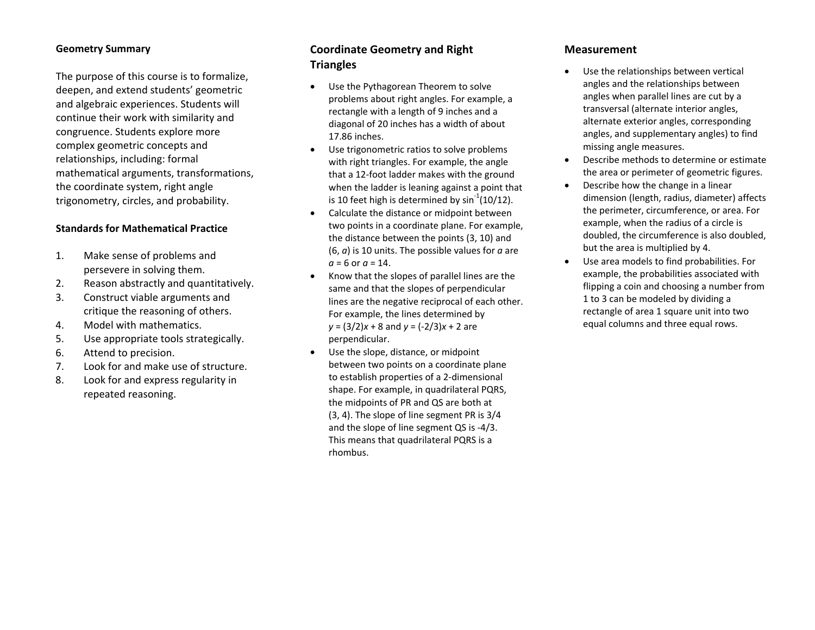#### **Geometry Summary**

The purpose of this course is to formalize, deepen, and extend students' geometric and algebraic experiences. Students will continue their work with similarity and congruence. Students explore more complex geometric concepts and relationships, including: formal mathematical arguments, transformations, the coordinate system, right angle trigonometry, circles, and probability.

### **Standards for Mathematical Practice**

- 1. Make sense of problems and persevere in solving them.
- 2.Reason abstractly and quantitatively.
- 3. Construct viable arguments and critique the reasoning of others.
- 4.Model with mathematics.
- 5.Use appropriate tools strategically.
- 6.Attend to precision.
- 7.Look for and make use of structure.
- 8. Look for and express regularity in repeated reasoning.

# **Coordinate Geometry and Right Triangles**

- $\bullet$  Use the Pythagorean Theorem to solve problems about right angles. For example, <sup>a</sup> rectangle with <sup>a</sup> length of 9 inches and <sup>a</sup> diagonal of 20 inches has <sup>a</sup> width of about 17.86 inches.
- $\bullet$  Use trigonometric ratios to solve problems with right triangles. For example, the angle that a 12‐foot ladder makes with the ground when the ladder is leaning against <sup>a</sup> point that is 10 feet high is determined by sin $^{\text{-}1}$ (10/12).
- $\bullet$  Calculate the distance or midpoint between two points in <sup>a</sup> coordinate plane. For example, the distance between the points (3, 10) and (6, *<sup>a</sup>*) is 10 units. The possible values for *<sup>a</sup>* are *a* <sup>=</sup> 6 or *<sup>a</sup>* <sup>=</sup> 14.
- $\bullet$  Know that the slopes of parallel lines are the same and that the slopes of perpendicular lines are the negative reciprocal of each other. For example, the lines determined by *y* <sup>=</sup> (3/2) *x* + 8 and *y* <sup>=</sup> (‐2/3) *x* + 2 are perpendicular.
- $\bullet$  Use the slope, distance, or midpoint between two points on <sup>a</sup> coordinate plane to establish properties of <sup>a</sup> 2‐dimensional shape. For example, in quadrilateral PQRS, the midpoints of PR and QS are both at (3, 4). The slope of line segment PR is 3/4 and the slope of line segment QS is ‐4/3. This means that quadrilateral PQRS is <sup>a</sup> rhombus.

## **Measurement**

- 0 Use the relationships between vertical angles and the relationships between angles when parallel lines are cut by <sup>a</sup> transversal (alternate interior angles, alternate exterior angles, corresponding angles, and supplementary angles) to find missing angle measures.
- $\bullet$  Describe methods to determine or estimate the area or perimeter of geometric figures.
- $\bullet$  Describe how the change in <sup>a</sup> linear dimension (length, radius, diameter) affects the perimeter, circumference, or area. For example, when the radius of <sup>a</sup> circle is doubled, the circumference is also doubled, but the area is multiplied by 4.
- $\bullet$  Use area models to find probabilities. For example, the probabilities associated with flipping <sup>a</sup> coin and choosing <sup>a</sup> number from 1 to 3 can be modeled by dividing <sup>a</sup> rectangle of area 1 square unit into two equal columns and three equal rows.